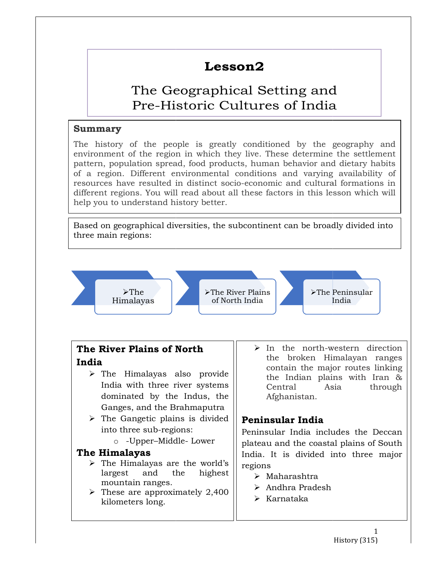### Lesson2

## The Geographical Setting and Pre-Historic Cultures of India<br>
of the people is greatly conditioned by the geography and Geographical Setting and<br>Historic Cultures of India<br>people is greatly conditioned by the geography and

#### Summary

The history of the people is greatly conditioned by the geography and environment of the region in which they live. These determine the settlement  $\vert \vert$ pattern, population spread, food products, human behavior and dietary habits of a region. Different environmental conditions and varying availability of **region** resources have resulted in distinct socio-economic and cultural formations in resources have resulted in distinct socio different regions. You will read about all these factors in this lesson which will  $\vert\;\;\vert$ help you to understand history better. tern, population spread, food products, human behavior and dietary habits | |<br>a region. Different environmental conditions and varying availability of | | resources have resulted in distinct socio-economic and cultural formations in<br>
different regions.<br>
Help you to understand history better.<br>
<br>
Based on geographical diversities, the subcontinent can be broadly divided into<br>

Based on geographical diversities, the subcontinent can be broadly divided into three main regions:

 $\rightarrow$  The<br>Himalayas

The River Plains

Himalayas of North India de la Unita de la Unita de la Unita de la Unita de la U The Peninsular India

# India

- $\triangleright$  The Himalayas also provide  $\parallel$  the India India with three river systems  $\parallel$  Central dominated by the Indus, the Ganges, and the Brahmaputra three river systems<br>
by the Indus, the and Afghan<br>
I the Brahmaputra<br>
ic plains is divided<br>
industrial preminimals<br>
r-Middle- Lower<br>
r-Middle- Lower<br>
plateau and
- $\triangleright$  The Gangetic plains is divided into three sub-regions:
	- o -Upper–Middle

#### The Himalayas

- $\triangleright$  The Himalayas are the world's  $\text{largest}$  and the highest  $\parallel$   $\rightarrow$  Maharashtra  $\parallel$ mountain ranges.
- $\triangleright$  These are approximately 2,400 kilometers long.
- **The River Plains of North**  $|| \rightarrow \text{In the north-western direction}$ **orth**<br> **Example 1997** For the north-western direction<br>
the broken Himalayan ranges<br>
contain the major routes linking<br>
the Indian plains with Iran &<br>
Indus, the Afghanistan.<br>
Indian, the Afghanistan.<br>
is divided<br> **Peninsul** the broken Himalayan ranges contain the major routes linking the Indian plains with Iran Asia through Afghanistan.

#### Peninsular India

Peninsular India includes the Deccan plateau and the coastal plains of South India. It is divided into three major regions Central Asia<br>Afghanistan.<br>**Peninsular India**<br>Peninsular India include<br>plateau and the coastal p<br>India. It is divided into<br>regions<br>> Maharashtra<br>> Andhra Pradesh

- 
- Andhra Pradesh
- $\triangleright$  Karnataka

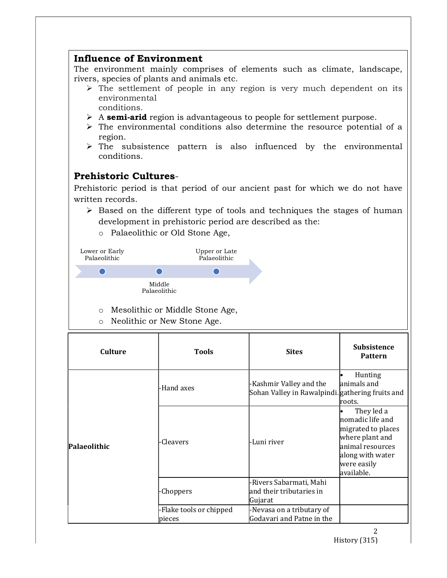#### Influence of Environment

The environment mainly comprises of elements such as climate, landscape, rivers, species of plants and animals etc.

- $\triangleright$  The settlement of people in any region is very much dependent on its environmental conditions.
- $\triangleright$  A semi-arid region is advantageous to people for settlement purpose.
- $\triangleright$  The environmental conditions also determine the resource potential of a region.
- $\triangleright$  The subsistence pattern is also influenced by the environmental conditions.

**Prehistoric Cultures-**<br>Prehistoric period is that period of our ancient past for which we do not have written records.

- $\triangleright$  Based on the different type of tools and techniques the stages of human development in prehistoric period are described as the:
	- o Palaeolithic or Old Stone Age,

| Lower or Early<br>Palaeolithic |                        | Upper or Late<br>Palaeolithic |
|--------------------------------|------------------------|-------------------------------|
|                                |                        |                               |
|                                | Middle<br>Palaeolithic |                               |

- o Mesolithic or Middle Stone Age,
- o Neolithic or New Stone Age.

| <b>Culture</b> | <b>Tools</b>                      | <b>Sites</b>                                                               | <b>Subsistence</b><br><b>Pattern</b>                                                                                                         |
|----------------|-----------------------------------|----------------------------------------------------------------------------|----------------------------------------------------------------------------------------------------------------------------------------------|
| Palaeolithic   | -Hand axes                        | Kashmir Valley and the<br>Sohan Valley in Rawalpindi. gathering fruits and | Hunting<br>animals and<br>roots.                                                                                                             |
|                | -Cleavers                         | -Luni river                                                                | They led a<br>nomadic life and<br>migrated to places<br>where plant and<br>animal resources<br>along with water<br>were easily<br>available. |
|                | -Choppers                         | -Rivers Sabarmati, Mahi<br>and their tributaries in<br>Gujarat             |                                                                                                                                              |
|                | -Flake tools or chipped<br>pieces | -Nevasa on a tributary of<br>Godavari and Patne in the                     |                                                                                                                                              |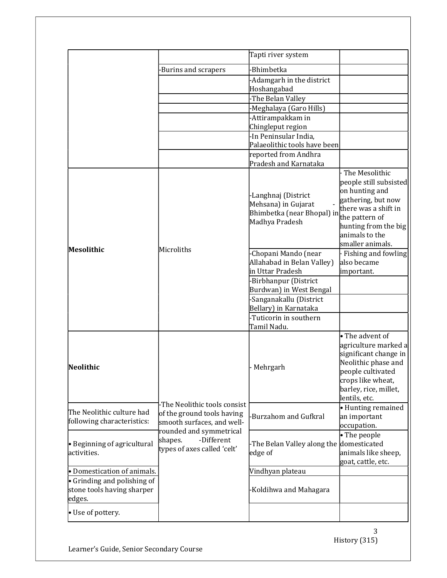|                                                                             |                                                                                                                     | Tapti river system                                                                         |                                                                                                                                                                                          |
|-----------------------------------------------------------------------------|---------------------------------------------------------------------------------------------------------------------|--------------------------------------------------------------------------------------------|------------------------------------------------------------------------------------------------------------------------------------------------------------------------------------------|
|                                                                             | Burins and scrapers                                                                                                 | Bhimbetka                                                                                  |                                                                                                                                                                                          |
|                                                                             |                                                                                                                     | -Adamgarh in the district                                                                  |                                                                                                                                                                                          |
|                                                                             |                                                                                                                     | Hoshangabad                                                                                |                                                                                                                                                                                          |
|                                                                             |                                                                                                                     | -The Belan Valley                                                                          |                                                                                                                                                                                          |
|                                                                             |                                                                                                                     | -Meghalaya (Garo Hills)                                                                    |                                                                                                                                                                                          |
|                                                                             |                                                                                                                     | -Attirampakkam in<br>Chingleput region                                                     |                                                                                                                                                                                          |
|                                                                             |                                                                                                                     | -In Peninsular India,                                                                      |                                                                                                                                                                                          |
|                                                                             |                                                                                                                     | Palaeolithic tools have been                                                               |                                                                                                                                                                                          |
|                                                                             |                                                                                                                     | reported from Andhra                                                                       |                                                                                                                                                                                          |
|                                                                             |                                                                                                                     | Pradesh and Karnataka                                                                      |                                                                                                                                                                                          |
| Mesolithic                                                                  | Microliths                                                                                                          | -Langhnaj (District<br>Mehsana) in Gujarat<br>Bhimbetka (near Bhopal) in<br>Madhya Pradesh | The Mesolithic<br>people still subsisted<br>on hunting and<br>gathering, but now<br>there was a shift in<br>the pattern of<br>hunting from the big<br>animals to the<br>smaller animals. |
|                                                                             |                                                                                                                     | Chopani Mando (near<br>Allahabad in Belan Valley)<br>in Uttar Pradesh                      | Fishing and fowling<br>also became<br>important.                                                                                                                                         |
|                                                                             |                                                                                                                     | -Birbhanpur (District                                                                      |                                                                                                                                                                                          |
|                                                                             |                                                                                                                     | Burdwan) in West Bengal                                                                    |                                                                                                                                                                                          |
|                                                                             |                                                                                                                     | -Sanganakallu (District<br>Bellary) in Karnataka                                           |                                                                                                                                                                                          |
|                                                                             |                                                                                                                     | -Tuticorin in southern                                                                     |                                                                                                                                                                                          |
|                                                                             |                                                                                                                     | Tamil Nadu.                                                                                |                                                                                                                                                                                          |
| Neolithic                                                                   |                                                                                                                     | Mehrgarh                                                                                   | • The advent of<br>agriculture marked a<br>significant change in<br>Neolithic phase and<br>people cultivated<br>crops like wheat,<br>barley, rice, millet,<br>lentils, etc.              |
| The Neolithic culture had<br>following characteristics:                     | -The Neolithic tools consist<br>of the ground tools having<br>smooth surfaces, and well-<br>rounded and symmetrical | Burzahom and Gufkral                                                                       | • Hunting remained<br>an important<br>occupation.                                                                                                                                        |
| $\bullet$ Beginning of agricultural<br>activities.                          | -Different<br>shapes.<br>types of axes called 'celt'                                                                | -The Belan Valley along the<br>edge of                                                     | • The people<br>domesticated<br>animals like sheep,<br>goat, cattle, etc.                                                                                                                |
| • Domestication of animals.                                                 |                                                                                                                     | Vindhyan plateau                                                                           |                                                                                                                                                                                          |
| $\bullet$ Grinding and polishing of<br>stone tools having sharper<br>edges. |                                                                                                                     | Koldihwa and Mahagara                                                                      |                                                                                                                                                                                          |
| • Use of pottery.                                                           |                                                                                                                     |                                                                                            |                                                                                                                                                                                          |

3